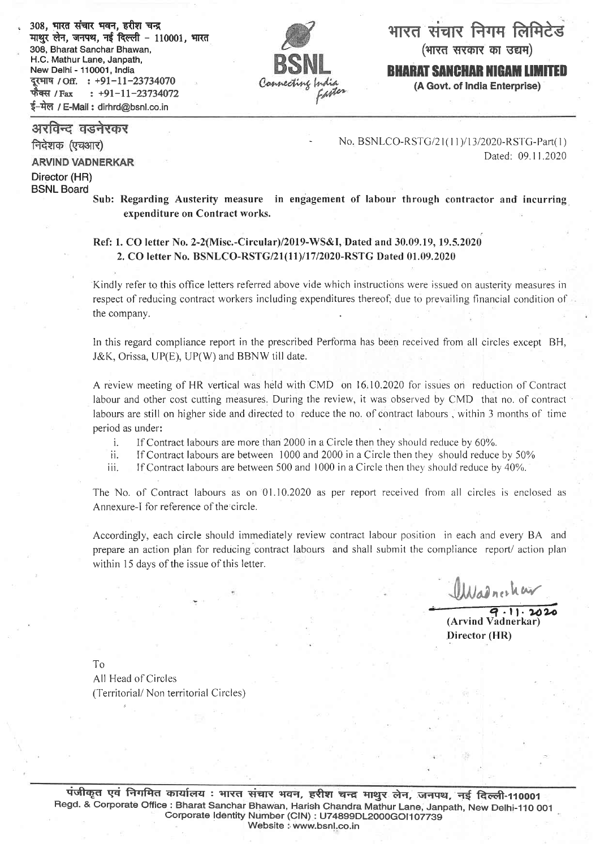308, भारत संचार भवन, हरीश चन्द्र माथुर लेन, जनपथ, नई दिल्ली - 110001, भारत 308, Bharat Sanchar Bhawan, H.C. Mathur Lane, Janpath, दुरभाष / Off. : +91-11-23734070  $\div$  +91-11-23734072 ई-मेल / E-Mail : dirhrd@bsnl.co.ii फैक्स / $_{\rm{Fax}}$ 



भारत संचार निगम लिमिटेड

(भारत सरकार का उद्यम)

BHARAT SANCHAR NIGAM LIMITED

(A Govt. of India Enterprise)

अरविन्द वडनेरकर

निदेशक (एचआर)

**ARVIND VADNERKAR** 

Director (HR) BSNL Board

No. BSNLCO-RSTG/21(11)/13/2020-RSTG-Part(1) Dated: 09.11.2020

Sub: Regarding Austerity measure in engagement of labour through contractor and incurring expenditure on Contract works.

Ref: 1. CO letter No. 2-2(Misc.-Circular)/2019-WS&I, Dated and 30.09.19, 19.5.2020 2. CO letter No. BSNLCO-RSTG/21(11)/17/2020-RSTG Dated 01.09.2020

Kindly referto this office letters referred above vide which instructions were issued on austerity measures in respect of reducing contract workers including expenditures thereof, due to prevailing financial condition of the company

In this regard compliance report in the prescribed Performa has been received from all circles except BH, J&K, Orissa, UP(E), UP(W) and BBNW till date.

A review meeting of HR vertical was held with CMD on 16,10,2020 for issues on reduction of Contract labour and other cost cutting measures. During the review, it was observed by CMD that no. of contract labours are still on higher side and directed to reduce the no. of contract labours, within 3 months of time

period as under:<br>i. If Contract labours are more than 2000 in a Circle then they should reduce by 60%.

ii. If Contract labours are between 1000 and 2000 in a Circle then they should reduce by 50%

iii. If Contract labours are between 500 and 1000 in a Circle then they should reduce by  $40\%$ .

The No. of Contract labours as on 01.10.2020 as per report received from all circles is enclosed as Annexure-l for reference of the'circle.

Accordingly, each circle should immediately review contract labour position in each and every BA and prepare an action plan for reducing contract labours and shall submit the compliance report/action plan within 15 days of the issue of this letter.

 $111.2...k$ 

 $\overline{q.11.2020}$ <br>(Arvind Vadnerkar) Director (HR)

To

All Head of Circles (Territorial/Non territorial Circles)

पंजीकृत एवं निगमित कार्यालय : भारत संचार भवन, हरीश चन्द्र माथुर लेन, जनपथ, नई दिल्ली-110001 Regd. & Corporate Office : Bharat Sanchar Bhawan, Harish Chandra Mathur Lane, Janpath, New Delhi-110 001 Corporate Identity Number (CIN) : U74899DL2000GOI107739 Website : www.bsnl.co.in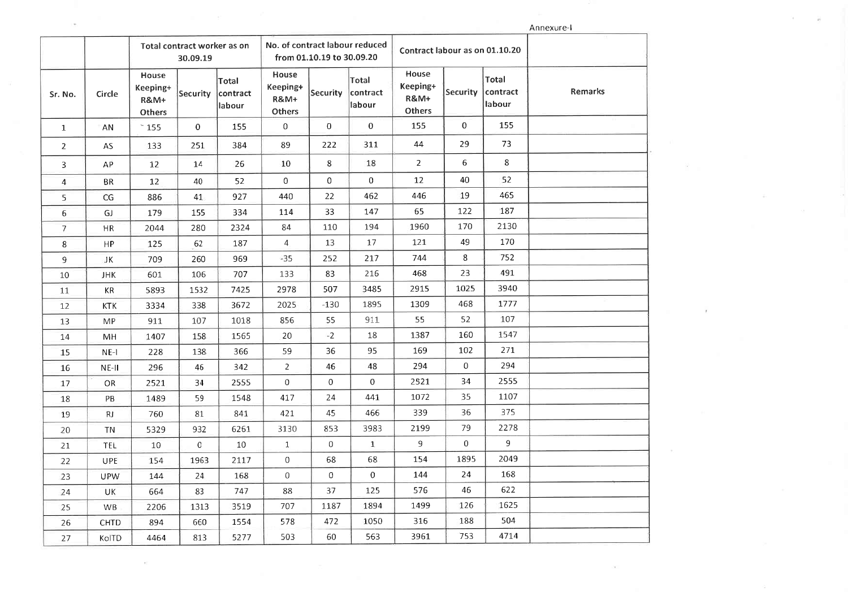Annexure-I

|                          |             | Total contract worker as on<br>30.09.19               |                 |                             | No. of contract labour reduced<br>from 01.10.19 to 30.09.20 |                 |                             | Contract labour as on 01.10.20                        |                  |                             |         |
|--------------------------|-------------|-------------------------------------------------------|-----------------|-----------------------------|-------------------------------------------------------------|-----------------|-----------------------------|-------------------------------------------------------|------------------|-----------------------------|---------|
| Sr. No.                  | Circle      | House<br>Keeping+<br><b>R&amp;M+</b><br><b>Others</b> | <b>Security</b> | Total<br>contract<br>labour | House<br>Keeping+<br><b>R&amp;M+</b><br>Others              | <b>Security</b> | Total<br>contract<br>labour | House<br>Keeping+<br><b>R&amp;M+</b><br><b>Others</b> | Security         | Total<br>contract<br>labour | Remarks |
| $\mathbf{1}$             | AN          | $^{\circ}$ 155                                        | $\mathbf{O}$    | 155                         | 0                                                           | $\bf{0}$        | $\mathbf 0$                 | 155                                                   | $\overline{0}$   | 155                         |         |
| $\overline{2}$           | AS          | 133                                                   | 251             | 384                         | 89                                                          | 222             | 311                         | 44                                                    | 29               | 73                          |         |
| 3                        | AP          | 12                                                    | 14              | 26                          | 10                                                          | 8               | 18                          | $\overline{2}$                                        | 6                | 8                           |         |
| $\overline{4}$           | <b>BR</b>   | 12                                                    | 40              | 52                          | $\overline{0}$                                              | $\mathbf 0$     | $\mathbf{0}$                | 12                                                    | 40               | 52                          |         |
| 5                        | CG          | 886                                                   | 41              | 927                         | 440                                                         | 22              | 462                         | 446                                                   | 19               | 465                         |         |
| $\overline{6}$           | GJ          | 179                                                   | 155             | 334                         | 114                                                         | 33              | 147                         | 65                                                    | 122              | 187                         |         |
| $\overline{\mathcal{L}}$ | HR          | 2044                                                  | 280             | 2324                        | 84                                                          | 110             | 194                         | 1960                                                  | 170              | 2130                        |         |
| 8                        | HP          | 125                                                   | 62              | 187                         | $\overline{4}$                                              | 13              | 17                          | 121                                                   | 49               | 170                         |         |
| 9                        | JΚ          | 709                                                   | 260             | 969                         | $-35$                                                       | 252             | 217                         | 744                                                   | 8                | 752                         |         |
| 10                       | <b>JHK</b>  | 601                                                   | 106             | 707                         | 133                                                         | 83              | 216                         | 468                                                   | 23               | 491                         |         |
| 11                       | KR          | 5893                                                  | 1532            | 7425                        | 2978                                                        | 507             | 3485                        | 2915                                                  | 1025             | 3940                        |         |
| 12                       | <b>KTK</b>  | 3334                                                  | 338             | 3672                        | 2025                                                        | $-130$          | 1895                        | 1309                                                  | 468              | 1777                        |         |
| 13                       | МP          | 911                                                   | 107             | 1018                        | 856                                                         | 55              | 911                         | 55                                                    | 52               | 107                         |         |
| 14                       | MН          | 1407                                                  | 158             | 1565                        | 20                                                          | $-2$            | 18                          | 1387                                                  | 160              | 1547                        |         |
| 15                       | $NE-1$      | 228                                                   | 138             | 366                         | 59                                                          | 36              | 95                          | 169                                                   | 102              | 271                         |         |
| 16                       | NE-II       | 296                                                   | 46              | 342                         | $\overline{2}$                                              | 46              | 48                          | 294                                                   | $\boldsymbol{0}$ | 294                         |         |
| 17                       | OR          | 2521                                                  | 34              | 2555                        | $\mathbf 0$                                                 | $\overline{0}$  | $\overline{0}$              | 2521                                                  | 34               | 2555                        |         |
| 18                       | PB          | 1489                                                  | 59              | 1548                        | 417                                                         | 24              | 441                         | 1072                                                  | 35               | 1107                        |         |
| 19                       | RJ          | 760                                                   | 81              | 841                         | 421                                                         | 45              | 466                         | 339                                                   | 36               | 375                         |         |
| 20                       | <b>TN</b>   | 5329                                                  | 932             | 6261                        | 3130                                                        | 853             | 3983                        | 2199                                                  | 79               | 2278                        |         |
| 21                       | <b>TEL</b>  | 10                                                    | $\,0$           | 10                          | $1\,$                                                       | $\overline{0}$  | $\mathbf{1}$                | 9                                                     | $\overline{0}$   | 9                           |         |
| 22                       | <b>UPE</b>  | 154                                                   | 1963            | 2117                        | $\boldsymbol{0}$                                            | 68              | 68                          | 154                                                   | 1895             | 2049                        |         |
| 23                       | <b>UPW</b>  | 144                                                   | 24              | 168                         | $\boldsymbol{0}$                                            | $\overline{0}$  | $\overline{0}$              | 144                                                   | 24               | 168                         |         |
| 24                       | UK          | 664                                                   | 83              | 747                         | 88                                                          | 37              | 125                         | 576                                                   | 46               | 622                         |         |
| 25                       | <b>WB</b>   | 2206                                                  | 1313            | 3519                        | 707                                                         | 1187            | 1894                        | 1499                                                  | 126              | 1625                        |         |
| 26                       | <b>CHTD</b> | 894                                                   | 660             | 1554                        | 578                                                         | 472             | 1050                        | 316                                                   | 188              | 504                         |         |
| 27                       | KolTD       | 4464                                                  | 813             | 5277                        | 503                                                         | 60              | 563                         | 3961                                                  | 753              | 4714                        |         |

 $\mathbb{R}^3$